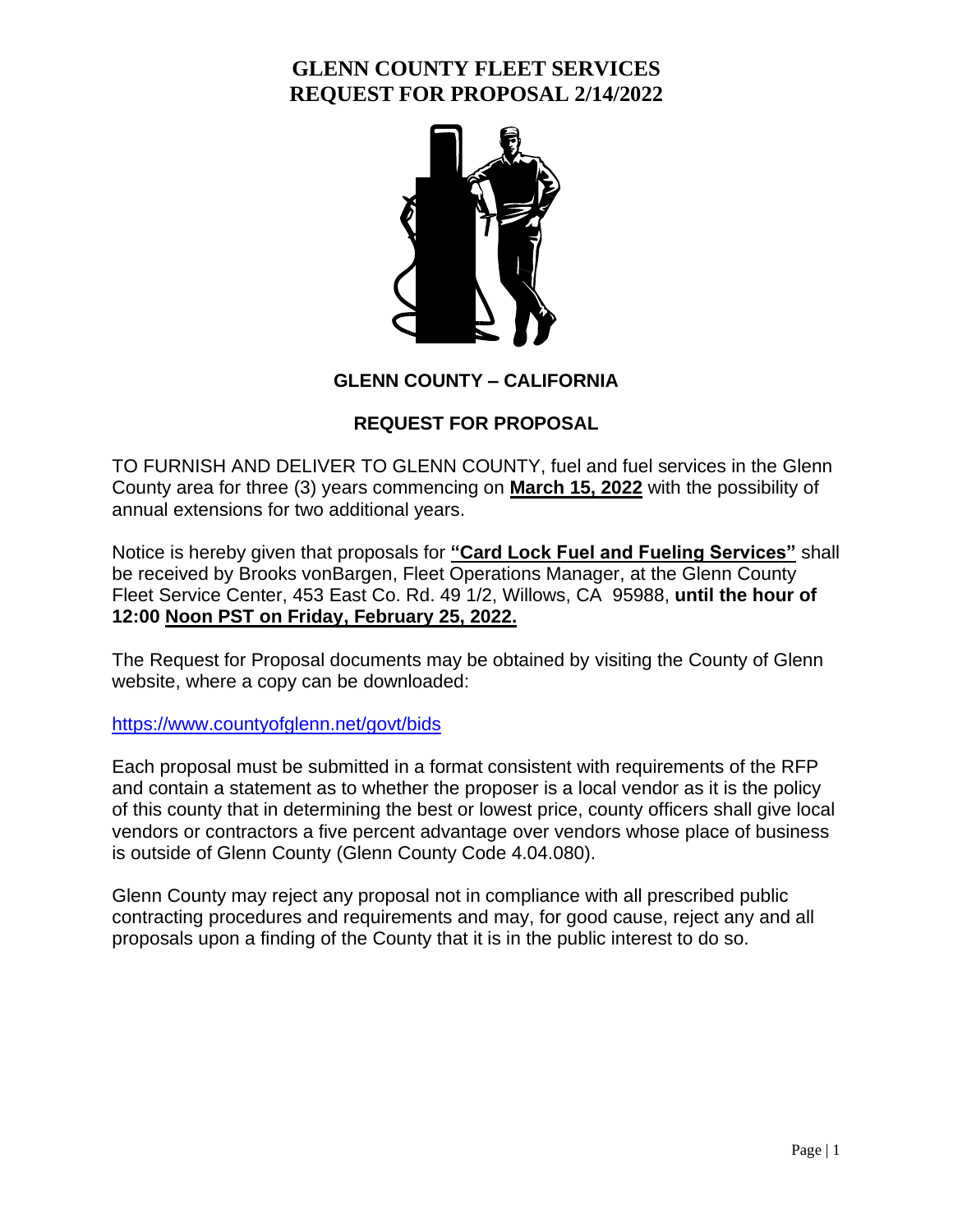

**GLENN COUNTY – CALIFORNIA**

#### **REQUEST FOR PROPOSAL**

TO FURNISH AND DELIVER TO GLENN COUNTY, fuel and fuel services in the Glenn County area for three (3) years commencing on **March 15, 2022** with the possibility of annual extensions for two additional years.

Notice is hereby given that proposals for **"Card Lock Fuel and Fueling Services"** shall be received by Brooks vonBargen, Fleet Operations Manager, at the Glenn County Fleet Service Center, 453 East Co. Rd. 49 1/2, Willows, CA 95988, **until the hour of 12:00 Noon PST on Friday, February 25, 2022.**

The Request for Proposal documents may be obtained by visiting the County of Glenn website, where a copy can be downloaded:

<https://www.countyofglenn.net/govt/bids>

Each proposal must be submitted in a format consistent with requirements of the RFP and contain a statement as to whether the proposer is a local vendor as it is the policy of this county that in determining the best or lowest price, county officers shall give local vendors or contractors a five percent advantage over vendors whose place of business is outside of Glenn County (Glenn County Code 4.04.080).

Glenn County may reject any proposal not in compliance with all prescribed public contracting procedures and requirements and may, for good cause, reject any and all proposals upon a finding of the County that it is in the public interest to do so.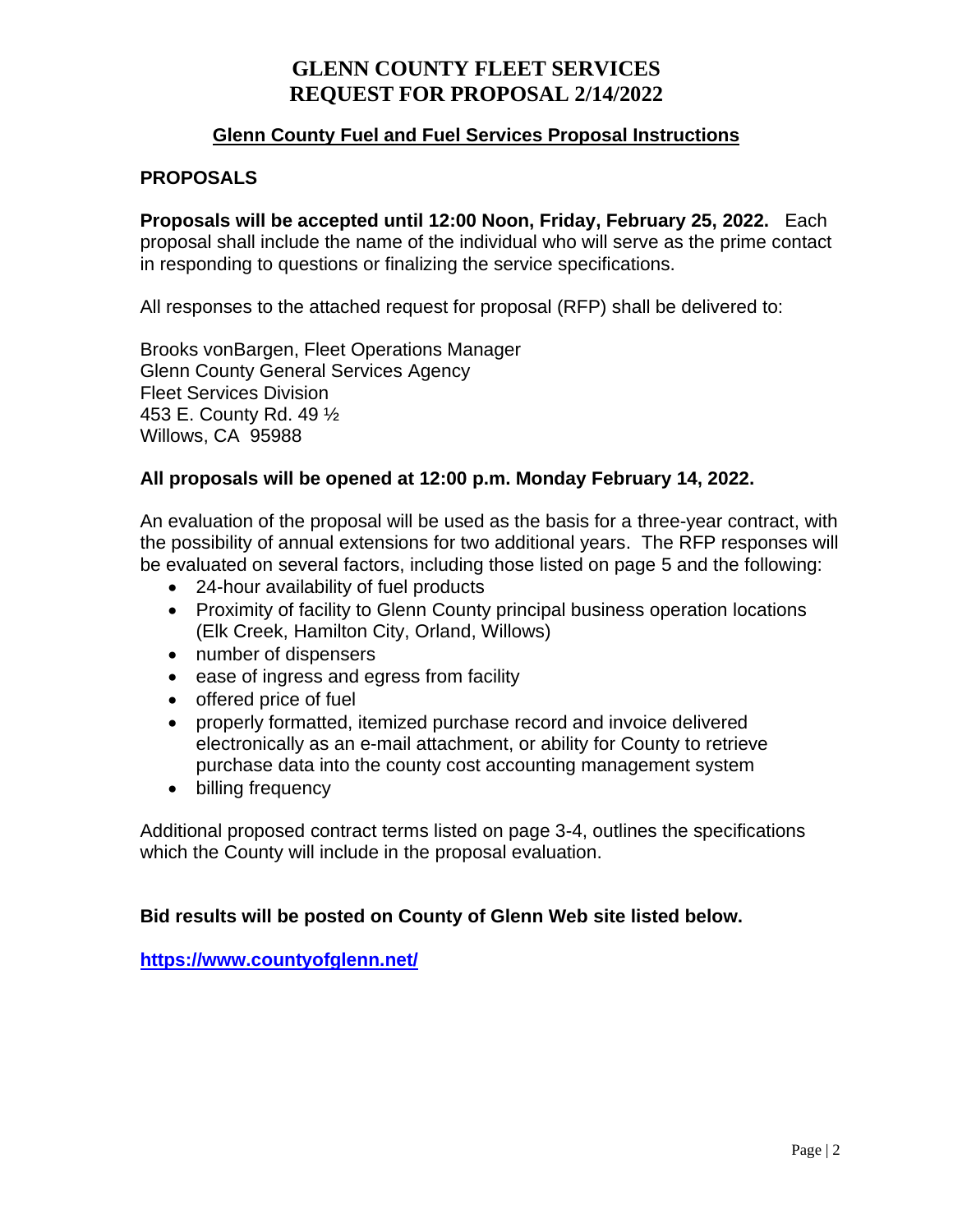#### **Glenn County Fuel and Fuel Services Proposal Instructions**

#### **PROPOSALS**

**Proposals will be accepted until 12:00 Noon, Friday, February 25, 2022.** Each proposal shall include the name of the individual who will serve as the prime contact in responding to questions or finalizing the service specifications.

All responses to the attached request for proposal (RFP) shall be delivered to:

Brooks vonBargen, Fleet Operations Manager Glenn County General Services Agency Fleet Services Division 453 E. County Rd. 49 ½ Willows, CA 95988

#### **All proposals will be opened at 12:00 p.m. Monday February 14, 2022.**

An evaluation of the proposal will be used as the basis for a three-year contract, with the possibility of annual extensions for two additional years. The RFP responses will be evaluated on several factors, including those listed on page 5 and the following:

- 24-hour availability of fuel products
- Proximity of facility to Glenn County principal business operation locations (Elk Creek, Hamilton City, Orland, Willows)
- number of dispensers
- ease of ingress and egress from facility
- offered price of fuel
- properly formatted, itemized purchase record and invoice delivered electronically as an e-mail attachment, or ability for County to retrieve purchase data into the county cost accounting management system
- billing frequency

Additional proposed contract terms listed on page 3-4, outlines the specifications which the County will include in the proposal evaluation.

#### **Bid results will be posted on County of Glenn Web site listed below.**

**<https://www.countyofglenn.net/>**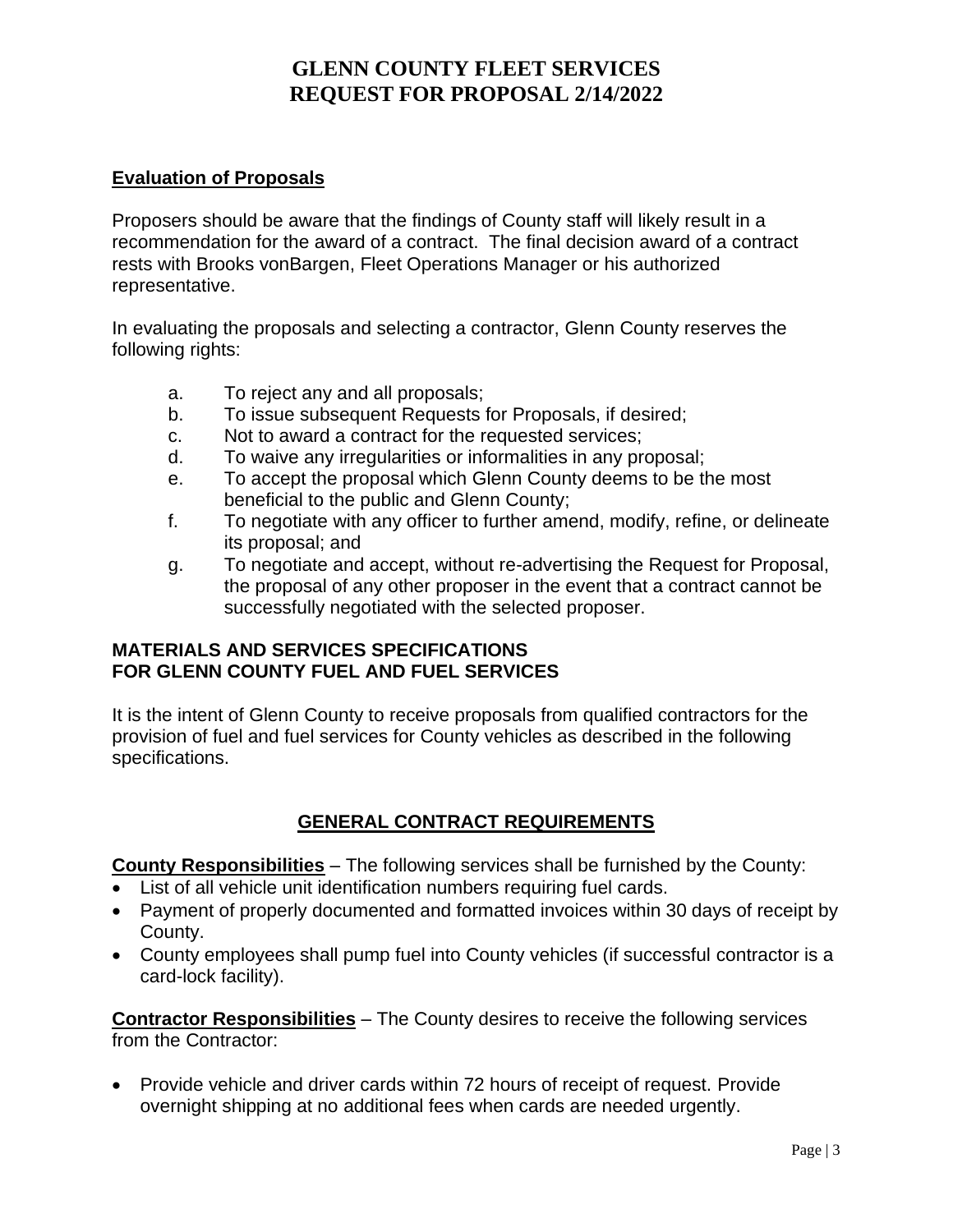#### **Evaluation of Proposals**

Proposers should be aware that the findings of County staff will likely result in a recommendation for the award of a contract. The final decision award of a contract rests with Brooks vonBargen, Fleet Operations Manager or his authorized representative.

In evaluating the proposals and selecting a contractor, Glenn County reserves the following rights:

- a. To reject any and all proposals;
- b. To issue subsequent Requests for Proposals, if desired;
- c. Not to award a contract for the requested services;
- d. To waive any irregularities or informalities in any proposal;
- e. To accept the proposal which Glenn County deems to be the most beneficial to the public and Glenn County;
- f. To negotiate with any officer to further amend, modify, refine, or delineate its proposal; and
- g. To negotiate and accept, without re-advertising the Request for Proposal, the proposal of any other proposer in the event that a contract cannot be successfully negotiated with the selected proposer.

#### **MATERIALS AND SERVICES SPECIFICATIONS FOR GLENN COUNTY FUEL AND FUEL SERVICES**

It is the intent of Glenn County to receive proposals from qualified contractors for the provision of fuel and fuel services for County vehicles as described in the following specifications.

### **GENERAL CONTRACT REQUIREMENTS**

**County Responsibilities** – The following services shall be furnished by the County:

- List of all vehicle unit identification numbers requiring fuel cards.
- Payment of properly documented and formatted invoices within 30 days of receipt by County.
- County employees shall pump fuel into County vehicles (if successful contractor is a card-lock facility).

**Contractor Responsibilities** – The County desires to receive the following services from the Contractor:

• Provide vehicle and driver cards within 72 hours of receipt of request. Provide overnight shipping at no additional fees when cards are needed urgently.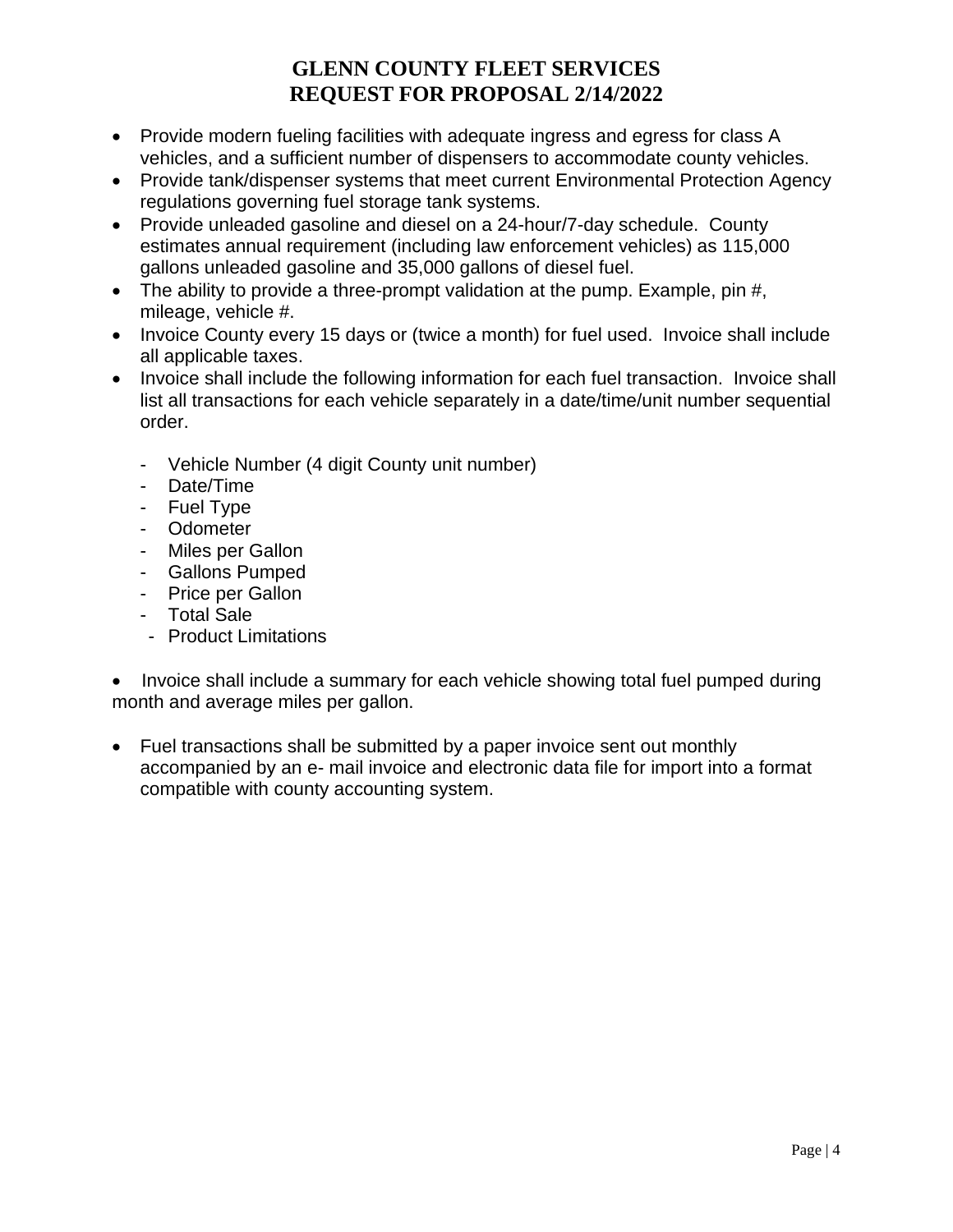- Provide modern fueling facilities with adequate ingress and egress for class A vehicles, and a sufficient number of dispensers to accommodate county vehicles.
- Provide tank/dispenser systems that meet current Environmental Protection Agency regulations governing fuel storage tank systems.
- Provide unleaded gasoline and diesel on a 24-hour/7-day schedule. County estimates annual requirement (including law enforcement vehicles) as 115,000 gallons unleaded gasoline and 35,000 gallons of diesel fuel.
- The ability to provide a three-prompt validation at the pump. Example, pin #, mileage, vehicle #.
- Invoice County every 15 days or (twice a month) for fuel used. Invoice shall include all applicable taxes.
- Invoice shall include the following information for each fuel transaction. Invoice shall list all transactions for each vehicle separately in a date/time/unit number sequential order.
	- Vehicle Number (4 digit County unit number)
	- Date/Time
	- Fuel Type
	- Odometer
	- Miles per Gallon
	- Gallons Pumped
	- Price per Gallon
	- Total Sale
	- Product Limitations

• Invoice shall include a summary for each vehicle showing total fuel pumped during month and average miles per gallon.

• Fuel transactions shall be submitted by a paper invoice sent out monthly accompanied by an e- mail invoice and electronic data file for import into a format compatible with county accounting system.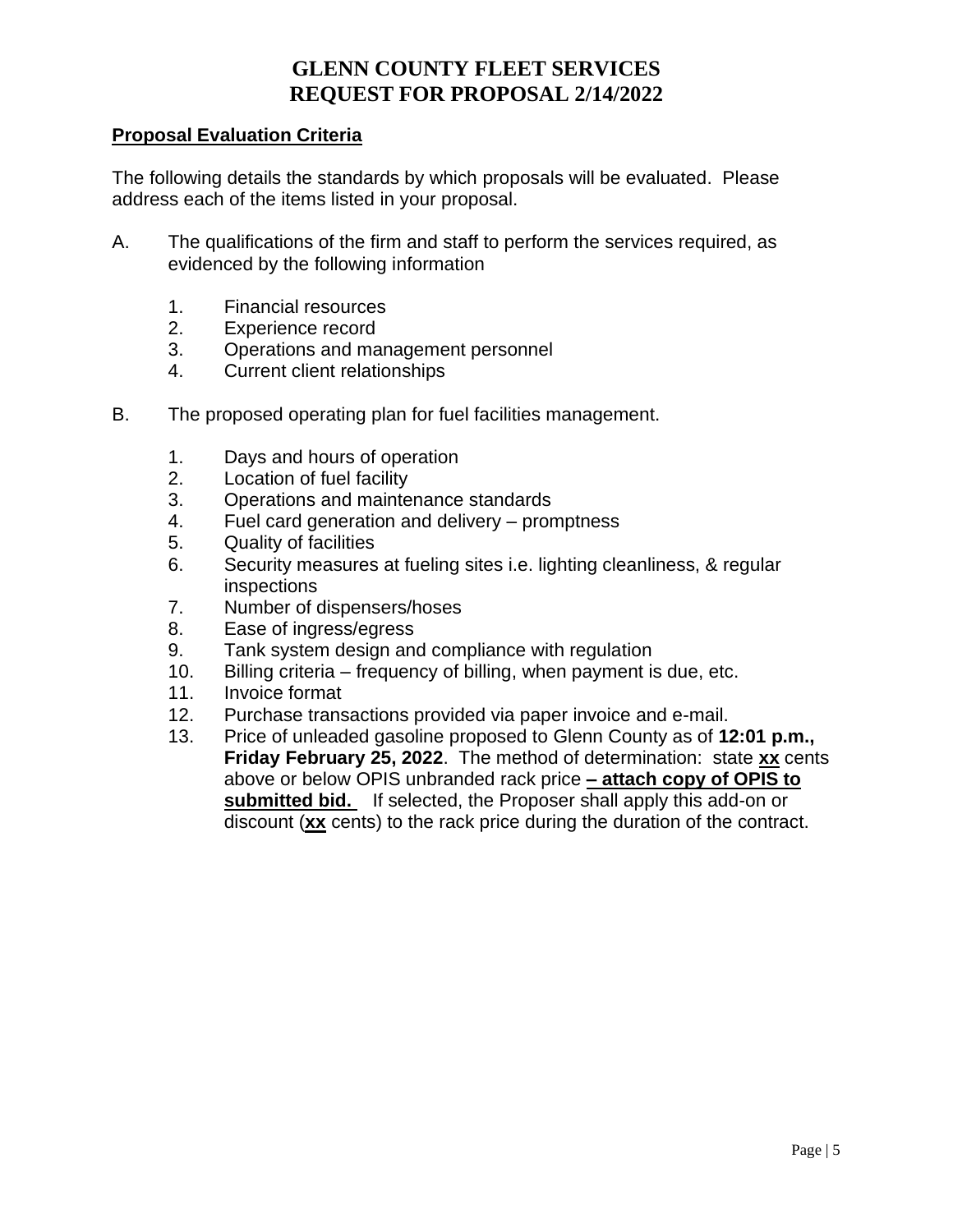#### **Proposal Evaluation Criteria**

The following details the standards by which proposals will be evaluated. Please address each of the items listed in your proposal.

- A. The qualifications of the firm and staff to perform the services required, as evidenced by the following information
	- 1. Financial resources
	- 2. Experience record
	- 3. Operations and management personnel
	- 4. Current client relationships
- B. The proposed operating plan for fuel facilities management.
	- 1. Days and hours of operation
	- 2. Location of fuel facility
	- 3. Operations and maintenance standards
	- 4. Fuel card generation and delivery promptness
	- 5. Quality of facilities
	- 6. Security measures at fueling sites i.e. lighting cleanliness, & regular inspections
	- 7. Number of dispensers/hoses
	- 8. Ease of ingress/egress
	- 9. Tank system design and compliance with regulation
	- 10. Billing criteria frequency of billing, when payment is due, etc.
	- 11. Invoice format
	- 12. Purchase transactions provided via paper invoice and e-mail.
	- 13. Price of unleaded gasoline proposed to Glenn County as of **12:01 p.m., Friday February 25, 2022**. The method of determination: state **xx** cents above or below OPIS unbranded rack price **– attach copy of OPIS to submitted bid.** If selected, the Proposer shall apply this add-on or discount (**xx** cents) to the rack price during the duration of the contract.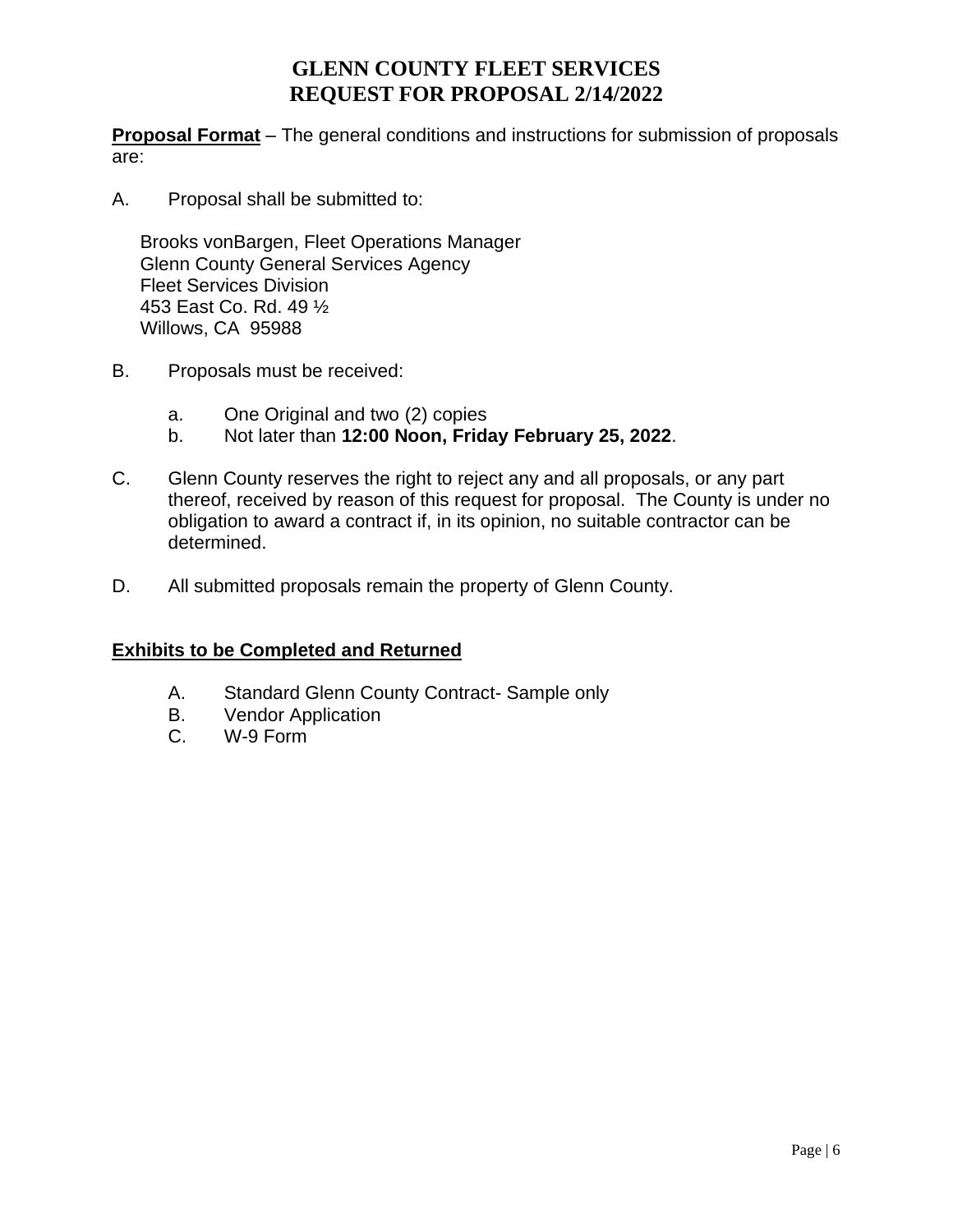**Proposal Format** – The general conditions and instructions for submission of proposals are:

A. Proposal shall be submitted to:

Brooks vonBargen, Fleet Operations Manager Glenn County General Services Agency Fleet Services Division 453 East Co. Rd. 49 ½ Willows, CA 95988

- B. Proposals must be received:
	- a. One Original and two (2) copies
	- b. Not later than **12:00 Noon, Friday February 25, 2022**.
- C. Glenn County reserves the right to reject any and all proposals, or any part thereof, received by reason of this request for proposal. The County is under no obligation to award a contract if, in its opinion, no suitable contractor can be determined.
- D. All submitted proposals remain the property of Glenn County.

#### **Exhibits to be Completed and Returned**

- A. Standard Glenn County Contract- Sample only
- B. Vendor Application
- C. W-9 Form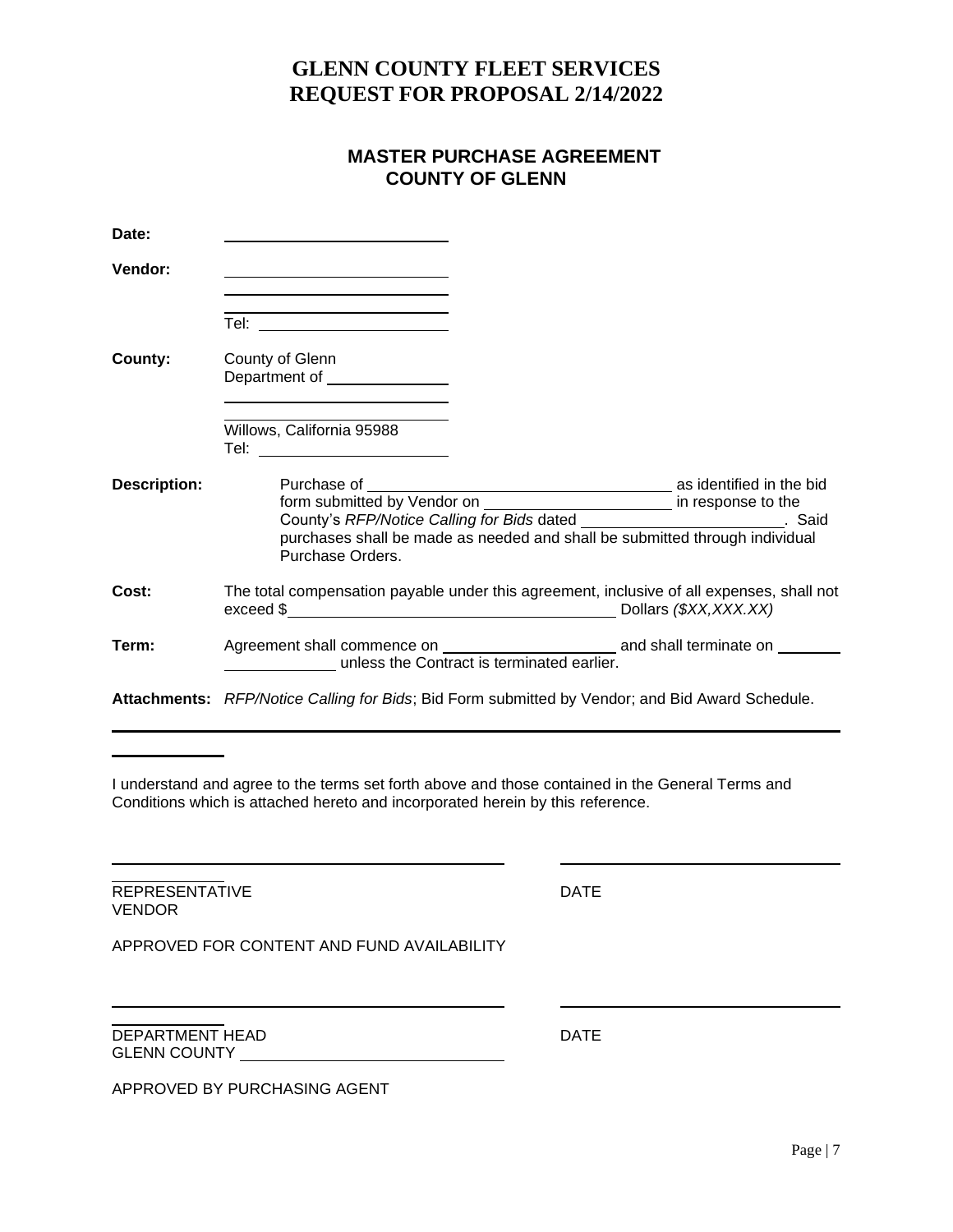#### **MASTER PURCHASE AGREEMENT COUNTY OF GLENN**

| Date:               |                                                                                                                                                                                |
|---------------------|--------------------------------------------------------------------------------------------------------------------------------------------------------------------------------|
| Vendor:             | <u> 1989 - Johann Barbara, martxa alemaniar a</u><br>the contract of the contract of the contract of the contract of the contract of                                           |
|                     | Tel: ________________________                                                                                                                                                  |
| County:             | County of Glenn<br>Department of _______________                                                                                                                               |
|                     | Willows, California 95988<br>Tel: _________________________                                                                                                                    |
| <b>Description:</b> | County's RFP/Notice Calling for Bids dated __________________________. Said<br>purchases shall be made as needed and shall be submitted through individual<br>Purchase Orders. |
| Cost:               | The total compensation payable under this agreement, inclusive of all expenses, shall not                                                                                      |
| Term:               |                                                                                                                                                                                |
|                     | Attachments: RFP/Notice Calling for Bids; Bid Form submitted by Vendor; and Bid Award Schedule.                                                                                |

I understand and agree to the terms set forth above and those contained in the General Terms and Conditions which is attached hereto and incorporated herein by this reference.

REPRESENTATIVE DATE VENDOR

APPROVED FOR CONTENT AND FUND AVAILABILITY

DEPARTMENT HEAD DATE GLENN COUNTY

APPROVED BY PURCHASING AGENT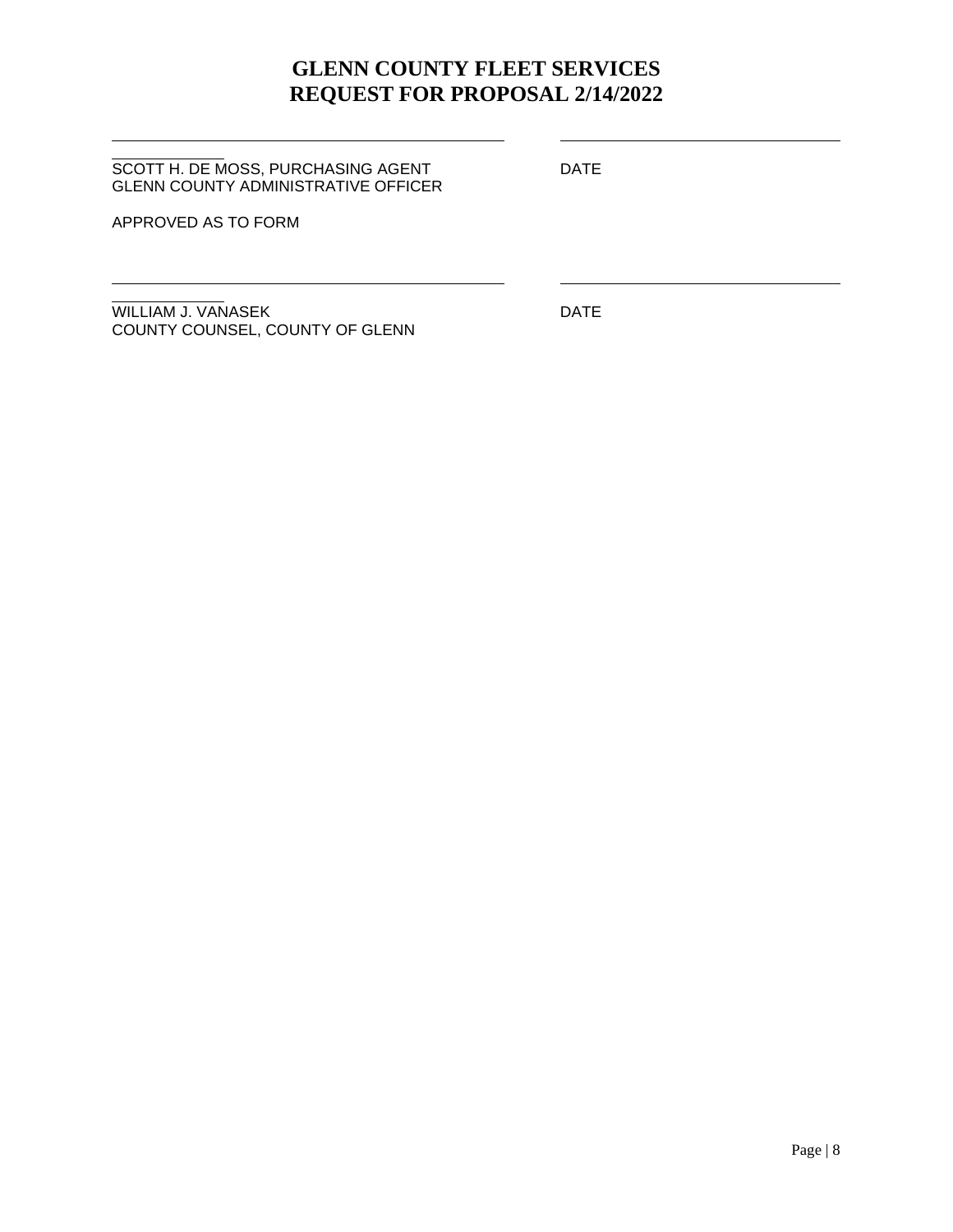SCOTT H. DE MOSS, PURCHASING AGENT DATE GLENN COUNTY ADMINISTRATIVE OFFICER

APPROVED AS TO FORM

WILLIAM J. VANASEK DATE COUNTY COUNSEL, COUNTY OF GLENN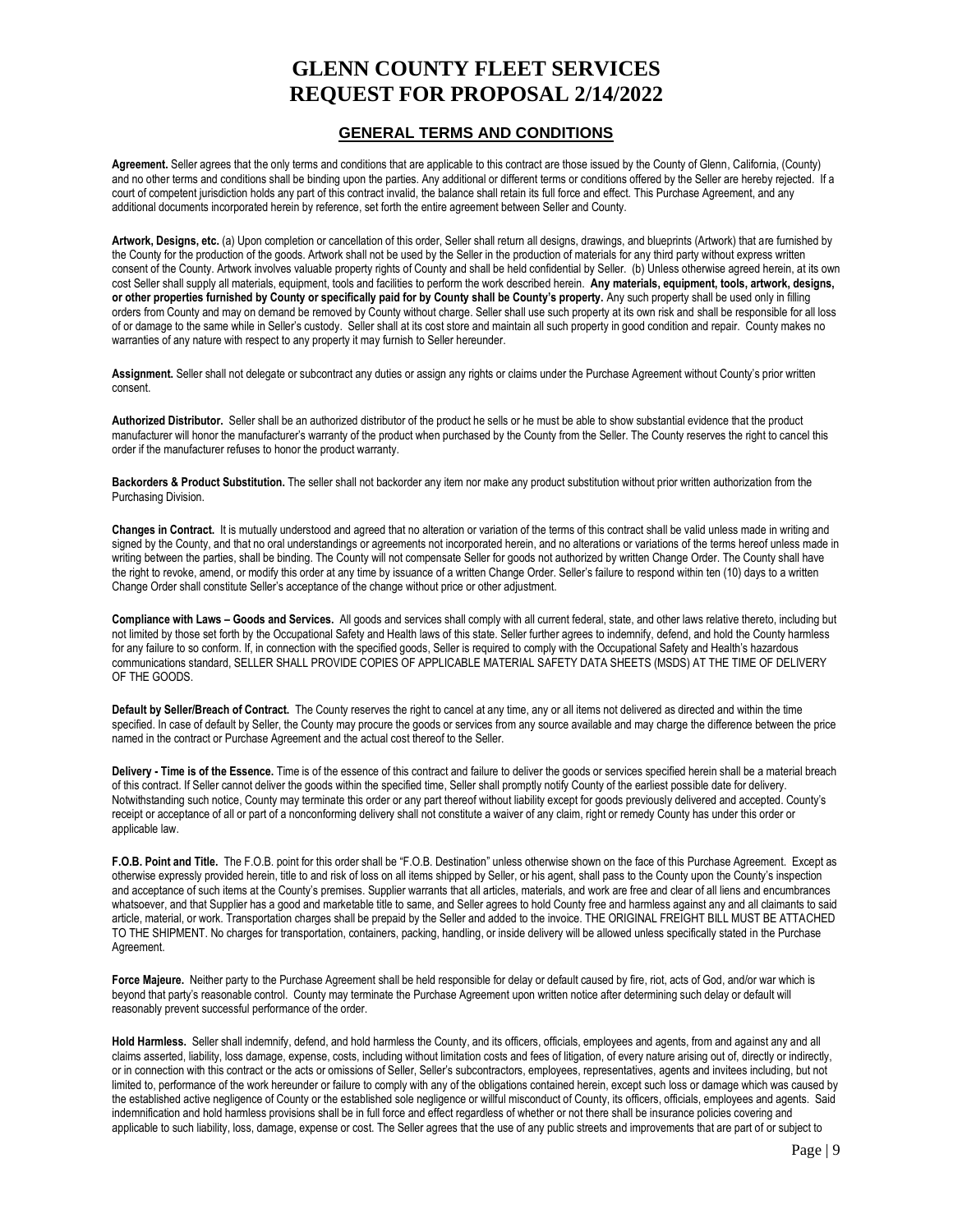#### **GENERAL TERMS AND CONDITIONS**

**Agreement.** Seller agrees that the only terms and conditions that are applicable to this contract are those issued by the County of Glenn, California, (County) and no other terms and conditions shall be binding upon the parties. Any additional or different terms or conditions offered by the Seller are hereby rejected. If a court of competent jurisdiction holds any part of this contract invalid, the balance shall retain its full force and effect. This Purchase Agreement, and any additional documents incorporated herein by reference, set forth the entire agreement between Seller and County.

**Artwork, Designs, etc.** (a) Upon completion or cancellation of this order, Seller shall return all designs, drawings, and blueprints (Artwork) that are furnished by the County for the production of the goods. Artwork shall not be used by the Seller in the production of materials for any third party without express written consent of the County. Artwork involves valuable property rights of County and shall be held confidential by Seller. (b) Unless otherwise agreed herein, at its own cost Seller shall supply all materials, equipment, tools and facilities to perform the work described herein. **Any materials, equipment, tools, artwork, designs, or other properties furnished by County or specifically paid for by County shall be County's property.** Any such property shall be used only in filling orders from County and may on demand be removed by County without charge. Seller shall use such property at its own risk and shall be responsible for all loss of or damage to the same while in Seller's custody. Seller shall at its cost store and maintain all such property in good condition and repair. County makes no warranties of any nature with respect to any property it may furnish to Seller hereunder.

Assignment. Seller shall not delegate or subcontract any duties or assign any rights or claims under the Purchase Agreement without County's prior written consent.

**Authorized Distributor.** Seller shall be an authorized distributor of the product he sells or he must be able to show substantial evidence that the product manufacturer will honor the manufacturer's warranty of the product when purchased by the County from the Seller. The County reserves the right to cancel this order if the manufacturer refuses to honor the product warranty.

**Backorders & Product Substitution.** The seller shall not backorder any item nor make any product substitution without prior written authorization from the Purchasing Division.

**Changes in Contract.** It is mutually understood and agreed that no alteration or variation of the terms of this contract shall be valid unless made in writing and signed by the County, and that no oral understandings or agreements not incorporated herein, and no alterations or variations of the terms hereof unless made in writing between the parties, shall be binding. The County will not compensate Seller for goods not authorized by written Change Order. The County shall have the right to revoke, amend, or modify this order at any time by issuance of a written Change Order. Seller's failure to respond within ten (10) days to a written Change Order shall constitute Seller's acceptance of the change without price or other adjustment.

**Compliance with Laws – Goods and Services.** All goods and services shall comply with all current federal, state, and other laws relative thereto, including but not limited by those set forth by the Occupational Safety and Health laws of this state. Seller further agrees to indemnify, defend, and hold the County harmless for any failure to so conform. If, in connection with the specified goods, Seller is required to comply with the Occupational Safety and Health's hazardous communications standard, SELLER SHALL PROVIDE COPIES OF APPLICABLE MATERIAL SAFETY DATA SHEETS (MSDS) AT THE TIME OF DELIVERY OF THE GOODS.

**Default by Seller/Breach of Contract.** The County reserves the right to cancel at any time, any or all items not delivered as directed and within the time specified. In case of default by Seller, the County may procure the goods or services from any source available and may charge the difference between the price named in the contract or Purchase Agreement and the actual cost thereof to the Seller.

**Delivery - Time is of the Essence.** Time is of the essence of this contract and failure to deliver the goods or services specified herein shall be a material breach of this contract. If Seller cannot deliver the goods within the specified time, Seller shall promptly notify County of the earliest possible date for delivery. Notwithstanding such notice, County may terminate this order or any part thereof without liability except for goods previously delivered and accepted. County's receipt or acceptance of all or part of a nonconforming delivery shall not constitute a waiver of any claim, right or remedy County has under this order or applicable law.

**F.O.B. Point and Title.** The F.O.B. point for this order shall be "F.O.B. Destination" unless otherwise shown on the face of this Purchase Agreement. Except as otherwise expressly provided herein, title to and risk of loss on all items shipped by Seller, or his agent, shall pass to the County upon the County's inspection and acceptance of such items at the County's premises. Supplier warrants that all articles, materials, and work are free and clear of all liens and encumbrances whatsoever, and that Supplier has a good and marketable title to same, and Seller agrees to hold County free and harmless against any and all claimants to said article, material, or work. Transportation charges shall be prepaid by the Seller and added to the invoice. THE ORIGINAL FREIGHT BILL MUST BE ATTACHED TO THE SHIPMENT. No charges for transportation, containers, packing, handling, or inside delivery will be allowed unless specifically stated in the Purchase Agreement.

**Force Majeure.** Neither party to the Purchase Agreement shall be held responsible for delay or default caused by fire, riot, acts of God, and/or war which is beyond that party's reasonable control. County may terminate the Purchase Agreement upon written notice after determining such delay or default will reasonably prevent successful performance of the order.

**Hold Harmless.** Seller shall indemnify, defend, and hold harmless the County, and its officers, officials, employees and agents, from and against any and all claims asserted, liability, loss damage, expense, costs, including without limitation costs and fees of litigation, of every nature arising out of, directly or indirectly, or in connection with this contract or the acts or omissions of Seller, Seller's subcontractors, employees, representatives, agents and invitees including, but not limited to, performance of the work hereunder or failure to comply with any of the obligations contained herein, except such loss or damage which was caused by the established active negligence of County or the established sole negligence or willful misconduct of County, its officers, officials, employees and agents. Said indemnification and hold harmless provisions shall be in full force and effect regardless of whether or not there shall be insurance policies covering and applicable to such liability, loss, damage, expense or cost. The Seller agrees that the use of any public streets and improvements that are part of or subject to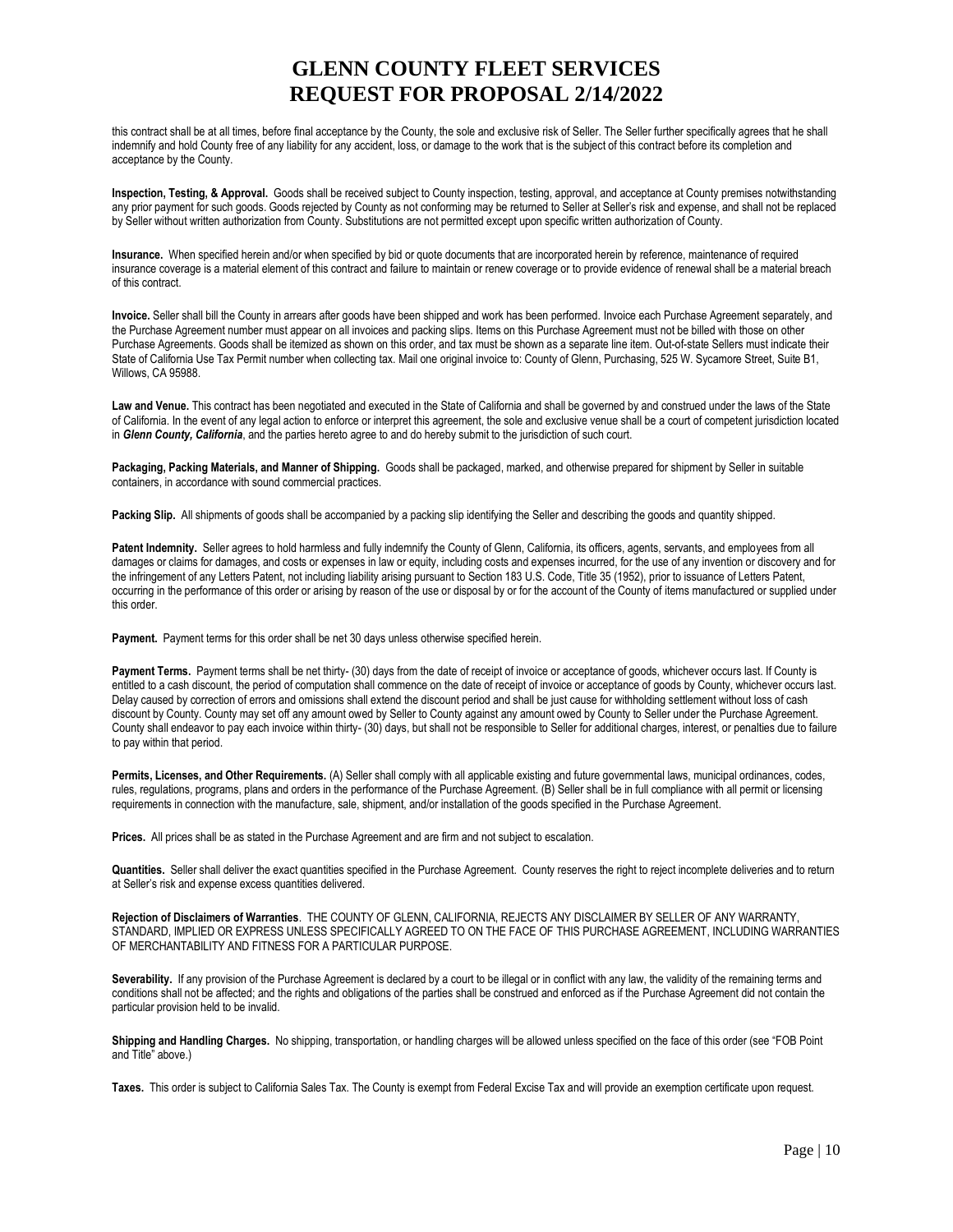this contract shall be at all times, before final acceptance by the County, the sole and exclusive risk of Seller. The Seller further specifically agrees that he shall indemnify and hold County free of any liability for any accident, loss, or damage to the work that is the subject of this contract before its completion and acceptance by the County.

**Inspection, Testing, & Approval.** Goods shall be received subject to County inspection, testing, approval, and acceptance at County premises notwithstanding any prior payment for such goods. Goods rejected by County as not conforming may be returned to Seller at Seller's risk and expense, and shall not be replaced by Seller without written authorization from County. Substitutions are not permitted except upon specific written authorization of County.

**Insurance.** When specified herein and/or when specified by bid or quote documents that are incorporated herein by reference, maintenance of required insurance coverage is a material element of this contract and failure to maintain or renew coverage or to provide evidence of renewal shall be a material breach of this contract.

**Invoice.** Seller shall bill the County in arrears after goods have been shipped and work has been performed. Invoice each Purchase Agreement separately, and the Purchase Agreement number must appear on all invoices and packing slips. Items on this Purchase Agreement must not be billed with those on other Purchase Agreements. Goods shall be itemized as shown on this order, and tax must be shown as a separate line item. Out-of-state Sellers must indicate their State of California Use Tax Permit number when collecting tax. Mail one original invoice to: County of Glenn, Purchasing, 525 W. Sycamore Street, Suite B1, Willows, CA 95988.

Law and Venue. This contract has been negotiated and executed in the State of California and shall be governed by and construed under the laws of the State of California. In the event of any legal action to enforce or interpret this agreement, the sole and exclusive venue shall be a court of competent jurisdiction located in *Glenn County, California*, and the parties hereto agree to and do hereby submit to the jurisdiction of such court.

**Packaging, Packing Materials, and Manner of Shipping.** Goods shall be packaged, marked, and otherwise prepared for shipment by Seller in suitable containers, in accordance with sound commercial practices.

Packing Slip. All shipments of goods shall be accompanied by a packing slip identifying the Seller and describing the goods and quantity shipped.

Patent Indemnity. Seller agrees to hold harmless and fully indemnify the County of Glenn, California, its officers, agents, servants, and employees from all damages or claims for damages, and costs or expenses in law or equity, including costs and expenses incurred, for the use of any invention or discovery and for the infringement of any Letters Patent, not including liability arising pursuant to Section 183 U.S. Code, Title 35 (1952), prior to issuance of Letters Patent, occurring in the performance of this order or arising by reason of the use or disposal by or for the account of the County of items manufactured or supplied under this order.

Payment. Payment terms for this order shall be net 30 days unless otherwise specified herein.

Payment Terms. Payment terms shall be net thirty- (30) days from the date of receipt of invoice or acceptance of goods, whichever occurs last. If County is entitled to a cash discount, the period of computation shall commence on the date of receipt of invoice or acceptance of goods by County, whichever occurs last. Delay caused by correction of errors and omissions shall extend the discount period and shall be just cause for withholding settlement without loss of cash discount by County. County may set off any amount owed by Seller to County against any amount owed by County to Seller under the Purchase Agreement. County shall endeavor to pay each invoice within thirty- (30) days, but shall not be responsible to Seller for additional charges, interest, or penalties due to failure to pay within that period.

Permits, Licenses, and Other Requirements. (A) Seller shall comply with all applicable existing and future governmental laws, municipal ordinances, codes, rules, regulations, programs, plans and orders in the performance of the Purchase Agreement. (B) Seller shall be in full compliance with all permit or licensing requirements in connection with the manufacture, sale, shipment, and/or installation of the goods specified in the Purchase Agreement.

**Prices.** All prices shall be as stated in the Purchase Agreement and are firm and not subject to escalation.

**Quantities.** Seller shall deliver the exact quantities specified in the Purchase Agreement. County reserves the right to reject incomplete deliveries and to return at Seller's risk and expense excess quantities delivered.

**Rejection of Disclaimers of Warranties**. THE COUNTY OF GLENN, CALIFORNIA, REJECTS ANY DISCLAIMER BY SELLER OF ANY WARRANTY, STANDARD, IMPLIED OR EXPRESS UNLESS SPECIFICALLY AGREED TO ON THE FACE OF THIS PURCHASE AGREEMENT, INCLUDING WARRANTIES OF MERCHANTABILITY AND FITNESS FOR A PARTICULAR PURPOSE.

Severability. If any provision of the Purchase Agreement is declared by a court to be illegal or in conflict with any law, the validity of the remaining terms and conditions shall not be affected; and the rights and obligations of the parties shall be construed and enforced as if the Purchase Agreement did not contain the particular provision held to be invalid.

**Shipping and Handling Charges.** No shipping, transportation, or handling charges will be allowed unless specified on the face of this order (see "FOB Point and Title" above.)

**Taxes.** This order is subject to California Sales Tax. The County is exempt from Federal Excise Tax and will provide an exemption certificate upon request.